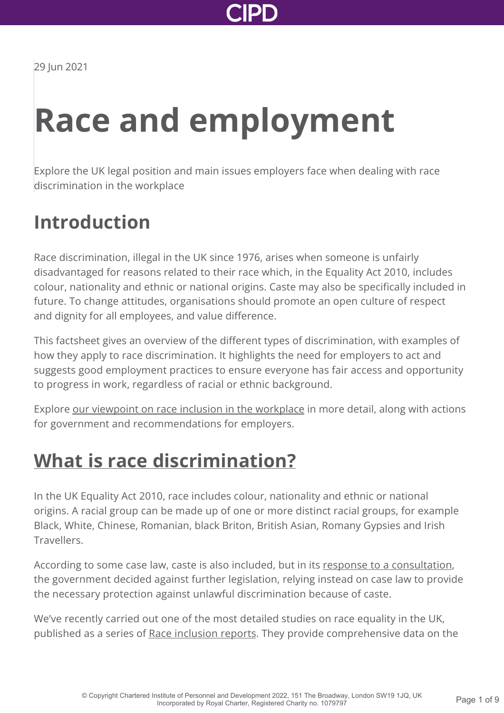

29 Jun 2021

# **Race and employment**

Explore the UK legal position and main issues employers face when dealing with race discrimination in the workplace

### **Introduction**

Race discrimination, illegal in the UK since 1976, arises when someone is unfairly disadvantaged for reasons related to their race which, in the Equality Act 2010, includes colour, nationality and ethnic or national origins. Caste may also be specifically included in future. To change attitudes, organisations should promote an open culture of respect and dignity for all employees, and value difference.

This factsheet gives an overview of the different types of discrimination, with examples of how they apply to race discrimination. It highlights the need for employers to act and suggests good employment practices to ensure everyone has fair access and opportunity to progress in work, regardless of racial or ethnic background.

Explore [our viewpoint on race inclusion in the workplace](http://www.cipd.co.uk/news-views/viewpoint/race-inclusion-workplace/) in more detail, along with actions for government and recommendations for employers.

### **[What is race discrimination?](http://www.cipd.co.uk/knowledge/fundamentals/emp-law/race-discrimination/factsheet?pdf=true#)**

In the UK Equality Act 2010, race includes colour, nationality and ethnic or national origins. A racial group can be made up of one or more distinct racial groups, for example Black, White, Chinese, Romanian, black Briton, British Asian, Romany Gypsies and Irish Travellers.

According to some case law, caste is also included, but in its [response to a consultation,](https://www.gov.uk/government/consultations/caste-in-great-britain-and-equality-law-a-public-consulation) the government decided against further legislation, relying instead on case law to provide the necessary protection against unlawful discrimination because of caste.

We've recently carried out one of the most detailed studies on race equality in the UK, published as a series of [Race inclusion reports](http://www.cipd.co.uk/knowledge/fundamentals/relations/diversity/race-inclusion-reports/). They provide comprehensive data on the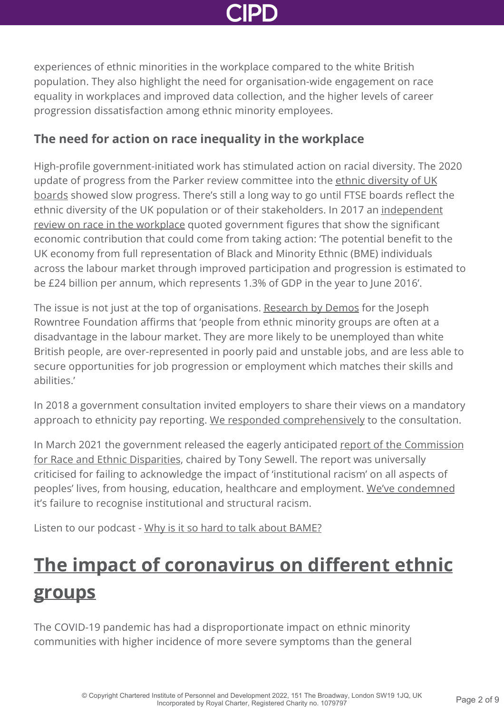

experiences of ethnic minorities in the workplace compared to the white British population. They also highlight the need for organisation-wide engagement on race equality in workplaces and improved data collection, and the higher levels of career progression dissatisfaction among ethnic minority employees.

#### **The need for action on race inequality in the workplace**

High-profile government-initiated work has stimulated action on racial diversity. The 2020 [update of progress from the Parker review committee into the ethnic diversity of UK](https://www.gov.uk/government/publications/ethnic-diversity-of-uk-boards-the-parker-review) boards showed slow progress. There's still a long way to go until FTSE boards reflect the [ethnic diversity of the UK population or of their stakeholders. In 2017 an independent](https://www.gov.uk/government/publications/race-in-the-workplace-the-mcgregor-smith-review) review on race in the workplace quoted government figures that show the significant economic contribution that could come from taking action: 'The potential benefit to the UK economy from full representation of Black and Minority Ethnic (BME) individuals across the labour market through improved participation and progression is estimated to be £24 billion per annum, which represents 1.3% of GDP in the year to June 2016'.

The issue is not just at the top of organisations. [Research by Demos](https://www.jrf.org.uk/report/entry-and-progression-work) for the Joseph Rowntree Foundation affirms that 'people from ethnic minority groups are often at a disadvantage in the labour market. They are more likely to be unemployed than white British people, are over-represented in poorly paid and unstable jobs, and are less able to secure opportunities for job progression or employment which matches their skills and abilities.'

In 2018 a government consultation invited employers to share their views on a mandatory approach to ethnicity pay reporting. [We responded comprehensively](http://www.cipd.co.uk/news-views/policy-engagement/consultations/ethnicity-pay-reporting/) to the consultation.

[In March 2021 the government released the eagerly anticipated report of the Commission](https://www.gov.uk/government/publications/the-report-of-the-commission-on-race-and-ethnic-disparities) for Race and Ethnic Disparities, chaired by Tony Sewell. The report was universally criticised for failing to acknowledge the impact of 'institutional racism' on all aspects of peoples' lives, from housing, education, healthcare and employment. [We've condemned](https://www.cipd.co.uk/news-views/news-articles/tackle-racism-discrimination-uk) it's failure to recognise institutional and structural racism.

Listen to our podcast - [Why is it so hard to talk about BAME?](http://www.cipd.co.uk/podcasts/bame-diversity/)

## **[The impact of coronavirus on different ethnic](http://www.cipd.co.uk/knowledge/fundamentals/emp-law/race-discrimination/factsheet?pdf=true#) groups**

The COVID-19 pandemic has had a disproportionate impact on ethnic minority communities with higher incidence of more severe symptoms than the general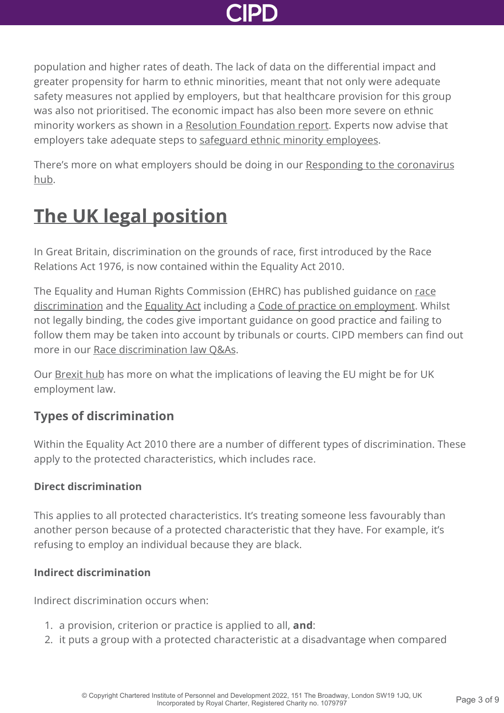

population and higher rates of death. The lack of data on the differential impact and greater propensity for harm to ethnic minorities, meant that not only were adequate safety measures not applied by employers, but that healthcare provision for this group was also not prioritised. The economic impact has also been more severe on ethnic minority workers as shown in a [Resolution Foundation report](https://www.peoplemanagement.co.uk/news/articles/young-and-ethnic-minority-workers-hardest-hit-by-post-furlough-job-cuts). Experts now advise that employers take adequate steps to [safeguard ethnic minority employees](https://www.peoplemanagement.co.uk/experts/legal/safeguarding-bame-employees-when-returning-work).

[There's more on what employers should be doing in our Responding to the coronavirus](http://www.cipd.co.uk/knowledge/coronavirus/) hub.

### **[The UK legal position](http://www.cipd.co.uk/knowledge/fundamentals/emp-law/race-discrimination/factsheet?pdf=true#)**

In Great Britain, discrimination on the grounds of race, first introduced by the Race Relations Act 1976, is now contained within the Equality Act 2010.

The Equality and Human Rights Commission (EHRC) has published guidance on race [discrimination and the Equality Act including a Code of practice on employment. Whi](https://www.equalityhumanrights.com/en/advice-and-guidance/race-discrimination)lst not legally binding, the codes give important guidance on good practice and failing to follow them may be taken into account by tribunals or courts. CIPD members can find out more in our [Race discrimination law Q&As](http://www.cipd.co.uk/knowledge/fundamentals/emp-law/race-discrimination/questions/).

Our [Brexit hub](http://www.cipd.co.uk/knowledge/brexit-hub/) has more on what the implications of leaving the EU might be for UK employment law.

#### **Types of discrimination**

Within the Equality Act 2010 there are a number of different types of discrimination. These apply to the protected characteristics, which includes race.

#### **Direct discrimination**

This applies to all protected characteristics. It's treating someone less favourably than another person because of a protected characteristic that they have. For example, it's refusing to employ an individual because they are black.

#### **Indirect discrimination**

Indirect discrimination occurs when:

- 1. a provision, criterion or practice is applied to all, **and**:
- 2. it puts a group with a protected characteristic at a disadvantage when compared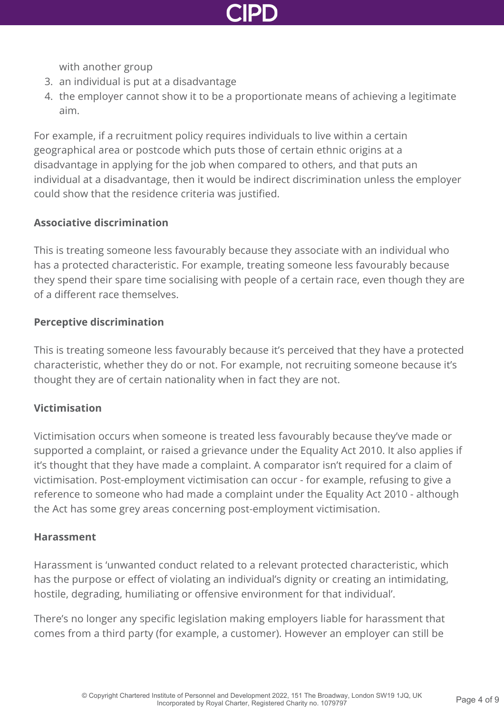

with another group

- 3. an individual is put at a disadvantage
- 4. the employer cannot show it to be a proportionate means of achieving a legitimate aim.

For example, if a recruitment policy requires individuals to live within a certain geographical area or postcode which puts those of certain ethnic origins at a disadvantage in applying for the job when compared to others, and that puts an individual at a disadvantage, then it would be indirect discrimination unless the employer could show that the residence criteria was justified.

#### **Associative discrimination**

This is treating someone less favourably because they associate with an individual who has a protected characteristic. For example, treating someone less favourably because they spend their spare time socialising with people of a certain race, even though they are of a different race themselves.

#### **Perceptive discrimination**

This is treating someone less favourably because it's perceived that they have a protected characteristic, whether they do or not. For example, not recruiting someone because it's thought they are of certain nationality when in fact they are not.

#### **Victimisation**

Victimisation occurs when someone is treated less favourably because they've made or supported a complaint, or raised a grievance under the Equality Act 2010. It also applies if it's thought that they have made a complaint. A comparator isn't required for a claim of victimisation. Post-employment victimisation can occur - for example, refusing to give a reference to someone who had made a complaint under the Equality Act 2010 - although the Act has some grey areas concerning post-employment victimisation.

#### **Harassment**

Harassment is 'unwanted conduct related to a relevant protected characteristic, which has the purpose or effect of violating an individual's dignity or creating an intimidating, hostile, degrading, humiliating or offensive environment for that individual'.

There's no longer any specific legislation making employers liable for harassment that comes from a third party (for example, a customer). However an employer can still be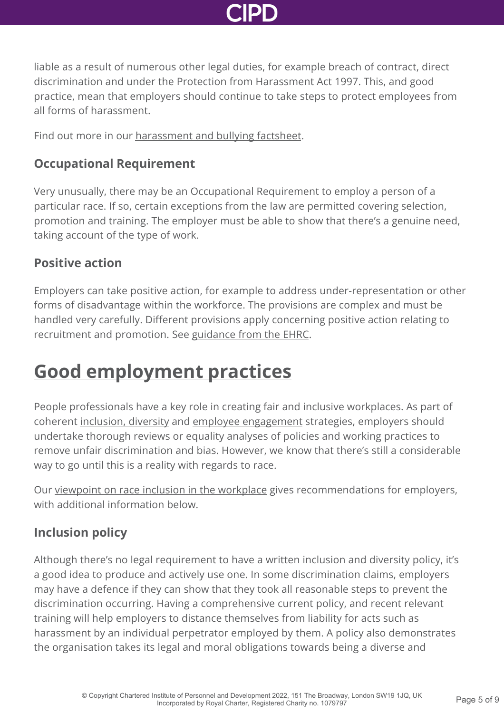

liable as a result of numerous other legal duties, for example breach of contract, direct discrimination and under the Protection from Harassment Act 1997. This, and good practice, mean that employers should continue to take steps to protect employees from all forms of harassment.

Find out more in our [harassment and bullying factsheet.](http://www.cipd.co.uk/knowledge/fundamentals/emp-law/harassment/factsheet/)

#### **Occupational Requirement**

Very unusually, there may be an Occupational Requirement to employ a person of a particular race. If so, certain exceptions from the law are permitted covering selection, promotion and training. The employer must be able to show that there's a genuine need, taking account of the type of work.

#### **Positive action**

Employers can take positive action, for example to address under-representation or other forms of disadvantage within the workforce. The provisions are complex and must be handled very carefully. Different provisions apply concerning positive action relating to recruitment and promotion. See [guidance from the EHRC.](https://www.equalityhumanrights.com/en/advice-and-guidance/employers-what-positive-action-workplace)

### **[Good employment practices](http://www.cipd.co.uk/knowledge/fundamentals/emp-law/race-discrimination/factsheet?pdf=true#)**

People professionals have a key role in creating fair and inclusive workplaces. As part of coherent [inclusion, diversity](http://www.cipd.co.uk/knowledge/fundamentals/relations/diversity/factsheet/) and [employee engagement](http://www.cipd.co.uk/knowledge/fundamentals/relations/engagement/factsheet/) strategies, employers should undertake thorough reviews or equality analyses of policies and working practices to remove unfair discrimination and bias. However, we know that there's still a considerable way to go until this is a reality with regards to race.

Our [viewpoint on race inclusion in the workplace](http://www.cipd.co.uk/news-views/viewpoint/race-inclusion-workplace/) gives recommendations for employers, with additional information below.

#### **Inclusion policy**

Although there's no legal requirement to have a written inclusion and diversity policy, it's a good idea to produce and actively use one. In some discrimination claims, employers may have a defence if they can show that they took all reasonable steps to prevent the discrimination occurring. Having a comprehensive current policy, and recent relevant training will help employers to distance themselves from liability for acts such as harassment by an individual perpetrator employed by them. A policy also demonstrates the organisation takes its legal and moral obligations towards being a diverse and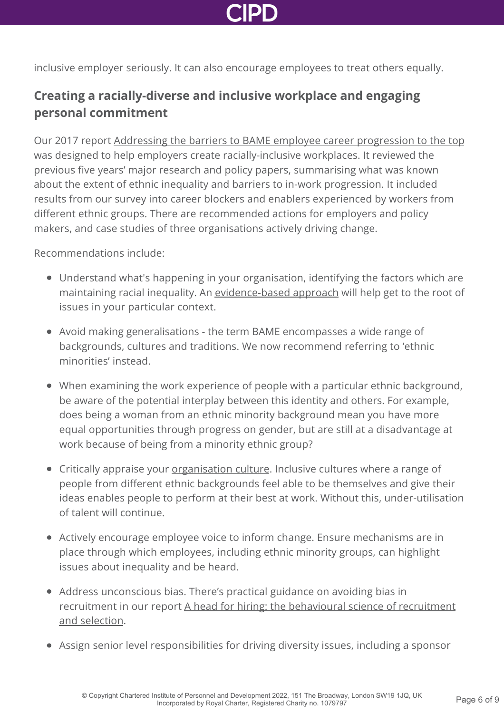inclusive employer seriously. It can also encourage employees to treat others equally.

### **Creating a racially-diverse and inclusive workplace and engaging personal commitment**

Our 2017 report [Addressing the barriers to BAME employee career progression to the top](http://www.cipd.co.uk/knowledge/fundamentals/relations/diversity/bame-career-progression/) was designed to help employers create racially-inclusive workplaces. It reviewed the previous five years' major research and policy papers, summarising what was known about the extent of ethnic inequality and barriers to in-work progression. It included results from our survey into career blockers and enablers experienced by workers from different ethnic groups. There are recommended actions for employers and policy makers, and case studies of three organisations actively driving change.

Recommendations include:

- Understand what's happening in your organisation, identifying the factors which are maintaining racial inequality. An [evidence-based approach](http://www.cipd.co.uk/knowledge/strategy/analytics/evidence-based-practice-factsheet/) will help get to the root of issues in your particular context.
- Avoid making generalisations the term BAME encompasses a wide range of backgrounds, cultures and traditions. We now recommend referring to 'ethnic minorities' instead.
- When examining the work experience of people with a particular ethnic background, be aware of the potential interplay between this identity and others. For example, does being a woman from an ethnic minority background mean you have more equal opportunities through progress on gender, but are still at a disadvantage at work because of being from a minority ethnic group?
- Critically appraise your *[organisation culture](http://www.cipd.co.uk/knowledge/culture/working-environment/organisation-culture-change-factsheet/)*. Inclusive cultures where a range of people from different ethnic backgrounds feel able to be themselves and give their ideas enables people to perform at their best at work. Without this, under-utilisation of talent will continue.
- Actively encourage employee voice to inform change. Ensure mechanisms are in place through which employees, including ethnic minority groups, can highlight issues about inequality and be heard.
- Address unconscious bias. There's practical guidance on avoiding bias in [recruitment in our report A head for hiring: the behavioural science of recruitment](http://www.cipd.co.uk/knowledge/culture/behaviour/recruitment-report/) and selection.
- Assign senior level responsibilities for driving diversity issues, including a sponsor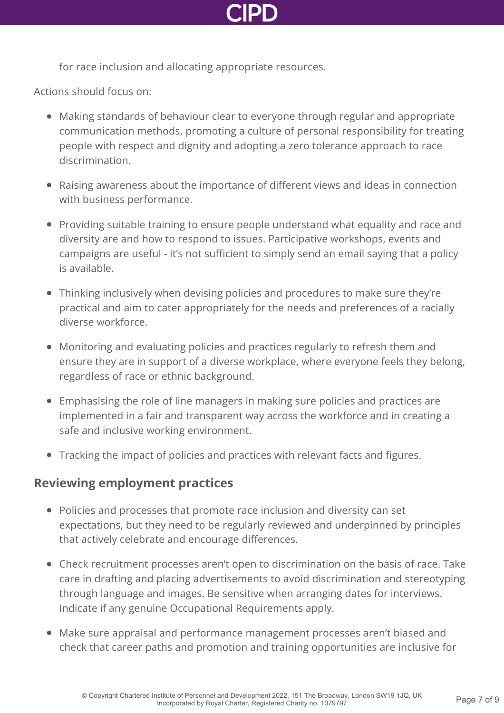

for race inclusion and allocating appropriate resources.

Actions should focus on:

- Making standards of behaviour clear to everyone through regular and appropriate communication methods, promoting a culture of personal responsibility for treating people with respect and dignity and adopting a zero tolerance approach to race discrimination.
- Raising awareness about the importance of different views and ideas in connection with business performance.
- Providing suitable training to ensure people understand what equality and race and diversity are and how to respond to issues. Participative workshops, events and campaigns are useful - it's not sufficient to simply send an email saying that a policy is available.
- Thinking inclusively when devising policies and procedures to make sure they're practical and aim to cater appropriately for the needs and preferences of a racially diverse workforce.
- Monitoring and evaluating policies and practices regularly to refresh them and ensure they are in support of a diverse workplace, where everyone feels they belong, regardless of race or ethnic background.
- Emphasising the role of line managers in making sure policies and practices are implemented in a fair and transparent way across the workforce and in creating a safe and inclusive working environment.
- Tracking the impact of policies and practices with relevant facts and figures.

#### **Reviewing employment practices**

- Policies and processes that promote race inclusion and diversity can set expectations, but they need to be regularly reviewed and underpinned by principles that actively celebrate and encourage differences.
- Check recruitment processes aren't open to discrimination on the basis of race. Take care in drafting and placing advertisements to avoid discrimination and stereotyping through language and images. Be sensitive when arranging dates for interviews. Indicate if any genuine Occupational Requirements apply.
- Make sure appraisal and performance management processes aren't biased and check that career paths and promotion and training opportunities are inclusive for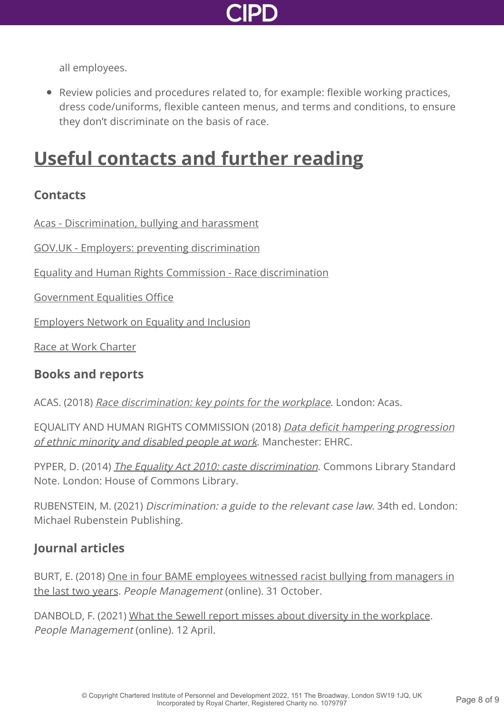

all employees.

Review policies and procedures related to, for example: flexible working practices, dress code/uniforms, flexible canteen menus, and terms and conditions, to ensure they don't discriminate on the basis of race.

### **[Useful contacts and further reading](http://www.cipd.co.uk/knowledge/fundamentals/emp-law/race-discrimination/factsheet?pdf=true#)**

#### **Contacts**

[Acas - Discrimination, bullying and harassment](https://www.acas.org.uk/discrimination-bullying-and-harassment)

[GOV.UK - Employers: preventing discrimination](https://www.gov.uk/employer-preventing-discrimination)

[Equality and Human Rights Commission - Race discrimination](https://www.equalityhumanrights.com/en/advice-and-guidance/race-discrimination)

[Government Equalities Office](http://www.equalities.gov.uk/)

[Employers Network on Equality and Inclusion](http://www.enei.org.uk/)

[Race at Work Charter](https://race.bitc.org.uk/issues/racecharter)

#### **Books and reports**

ACAS. (2018) [Race discrimination: key points for the workplace](https://archive.acas.org.uk/media/4413/Race-discrimination-key-points-for-the-workplace/pdf/Race-discrim-keypoints-workplace.pdf). London: Acas.

[EQUALITY AND HUMAN RIGHTS COMMISSION \(2018\)](https://www.equalityhumanrights.com/en/our-work/news/data-deficit-hampering-progression-ethnic-minority-and-disabled-staff-work) Data deficit hampering progression of ethnic minority and disabled people at work. Manchester: EHRC.

PYPER, D. (2014) *[The Equality Act 2010: caste discrimination](http://www.parliament.uk/briefing-papers/SN06862/the-equality-act-2010-caste-discrimination)*. Commons Library Standard Note. London: House of Commons Library.

RUBENSTEIN, M. (2021) Discrimination: a guide to the relevant case law. 34th ed. London: Michael Rubenstein Publishing.

#### **Journal articles**

[BURT, E. \(2018\) One in four BAME employees witnessed racist bullying from managers in](https://www.peoplemanagement.co.uk/news/articles/one-in-four-employees-witnessed-racist-bullying) the last two years. People Management (online). 31 October.

DANBOLD, F. (2021) [What the Sewell report misses about diversity in the workplace](https://www.peoplemanagement.co.uk/voices/comment/what-the-sewell-report-misses-about-diversity-in-the-workplace). People Management (online). 12 April.